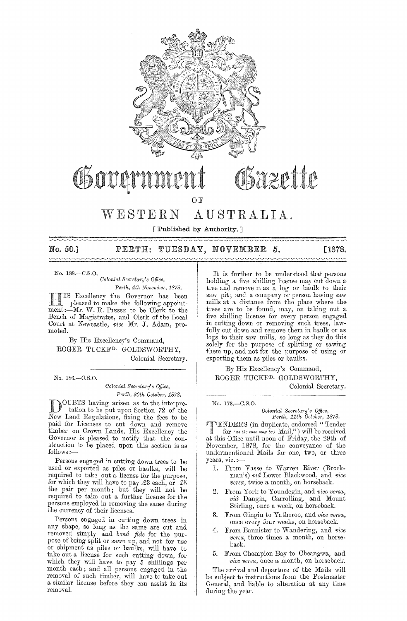

No. 50.] PERTH: TUESDAY, NOVEMBER 5. [1878.  $\sim$ 

No. 188.-C.8.0.

*Colonial Secretary's Office, Pe;·th, 4th November, 1878.* 

HIS Excellency the Governor has been pleased to make the following appointment:-Mr. W. R. PIESSE to be Clerk to the Bench of Magistrates, and Clerk of the Local Court at Newcastle, vice Mr. J. Adam, promoted.

By His Excellency's Command, ROGER TUCKFD. GOIJDSWORTHY, Colonial Secretary.

No. 186.-C.8.0.

*Colonial Sec;'eta;'y's Office, Perth, 30th Octobe;', 1878.* 

DOUBTS having arisen as to the interpre-tation to be put upon Section 72 of the New Land Regulations, fixing the fees to be paid for Licenses to cut down and remove timber on Crown Lands, His Excellency the Governor is pleased to notify that the construction to be placed upon this section is as follows:—

Persons engaged in cutting down trees to be used or exported as piles or baulks, will be required to take out a license for the purpose, for which they will have to pay £3 each, or  $E5$ the pair per month; but they will not be required to take out a further license for the persons employed in removing the same during the currency of their licenses.

Persons engaged in cutting down trees in any shape, so long as the same are cut and removed simply and *bona fide* for the purpose of being split or sawn up, and not for use or shipment as piles or baulks, will have to take out a license for such cutting down, for which they will have to pay 5 shillings per month each; and all persons engaged in the removal of such timber, will have to take out a similar license before they can assist in its removal.

It is further to be understood that persons holding a five shilling license may cut down a tree and remove it as a log or baulk to their saw pit; and a company or person having saw mills at a distance from the place where the trees are to be found, may, on taking out a five shilling license for every person engaged in cutting down or removing such trees, lawfully cut down and remove them in baulk or as logs to their saw mills, so long as they do this solely for the purpose of splitting or sawing them up, and not for the purpose of using or exporting them as piles or baulks.

By His Excellency's Command, ROGER TUCKFD. GOLDSWORTHY, Colonial Secretary.

No. 173.-C.8.0.

*Colonial Sec;'etal'Y's Office, Perth, 11th Octo be;',* 1878.

**TENDERS** (in duplicate, endorsed "Tender<br>for (as the case may be) Mail,") will be received at this Office until noon of Friday, the 29th of November, 1878, for the conveyance of the undermentioned Mails for one, two, or three years, viz. :-

- 1. From Vasse to Warren River (Brockman's) *via* LOWeT Blackwood, and *vice versa*, twice a month, on horseback.
- From York to Youndegin, and *vice versa*, *vic'i* Dangin, Carrolling, and Mount Stirling, once a week, on horseback.
- 3. From Gingin to Yatheroo, and *vice versa*, once every four weeks, on horseback.
- 4. From Bannister to Wandering, and *vice versa,* three times a month, on horseback.
- 5. From Champion Bay to Cheangwa, and *vice versa*, once a month, on horseback.

The arrival and departure of the Mails will be subject to instructions from the Postmaster General, and liable to alteration at any time during the year.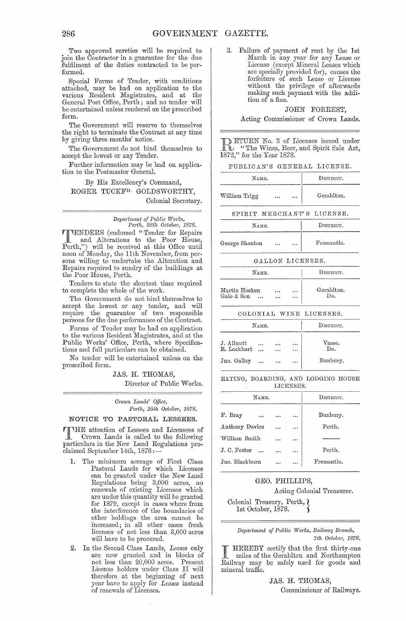Two approved sureties will be required to join the Contractor in a gnarantee for the due fulfilment of the duties contracted to be performed.

Special Forms of Tender, with conditions attached, may be had on application to the various Resident Magistrates, and at the General Post Office, Perth; and no tender will be entertained unless rendered on the prescribed form.

The Government will reserve to themselves the right to terminate the Contract at any time by giving three months' notice.

The Government do not bind themselves to accept the lowest or any Tender.

Further information may be had on application to the Postmaster General.

By His Excellency's Command, ROGER TUCKFD. GOLDSWORTHY, Colonial Secretary.

> $Department of Public Works,$ *Pel·th, 28th Octobe)', 1878.*

**TENDERS** (endorsed "Tender for Repairs<br>and Alterations to the Poor House,<br>Porth."), will be received at this Office write Perth,") will be received at this Office until noon of Monday, the 11th November, from persons willing to undertake the Alteration and Repairs required to sundry of the buildings at the Poor House, Perth.

Tenders to state the shortest time required to complete the whole of the work.

The Government do not hind themselves to accept the lowest or any tender, and will require the guarantee of two responsihle persons for the due performance of the Contract.

Forms of Tender may he had on application to the various Resident Magistrates, and at the Public Works' Office, Perth, where Specifications and full particulars can be obtained.

No tender will be entertainecl unless on the prescribed form.

JAS. H. THOMAS,

Director of Puhlic Works.

*Cl'own Lands' Office, Pel·th, 25th Octobm', 1878.* 

#### NOTICE TO PASTORAL LESSEES.

THE attention of Lessees and Licensees of<br>
Crown Lands is called to the following<br>
particulars in the New Land Beaulations and particulars in the New Land Regulations proclaimed September 14th, 1878;-

- 1. The minimum acreage of First Class Pastoral Lands for which Licenses can he granted under the New Land Regulations heing 3,000 acres, no renewals of existing Licenses which are under this quantity will be granted for 1879, except in cases where from the interference of the houndaries of other holdings the area cannot be increasecl; in all other cases fresh licenses of not less than 3,000 acres will have to he procured.
- 2. In the Second Class Lands, *Leases* only are now granted and in blocks of not less than 20,000 acres. Present License holders under Class II will therefore at the beginning of next year have to apply for *Leases* instead of renewals of Licenses.

3. Failure of payment of rent by the 1st March in any year for any Lease or License (except Mineral Leases which are specially provided for), causes the forfeiture of such Lease or License without the privilege of afterwards making such payment with the addition of a fine.

#### JOHN FORREST,

Acting Commissioner of Crown Lands.

**DETURN No. 3 of Licenses issued under** "The Wines, Beer, and Spirit Sale Act, 1872," for the Wines, Beer<br>1872," for the Year 1878.

PUBLICAN'S GENERAL LICENSE.

| NAME.         | DISTRICT. |  |            |
|---------------|-----------|--|------------|
| William Trigg |           |  | Geraldton. |

SPIRIT MERCHANT'S LICENSE.

**NAME.** DISTRICT. George Shenton ... ... | Fremantle.

#### GALLON LICENSES.

| NAME.                                   | DISTRICT. |      |                   |
|-----------------------------------------|-----------|------|-------------------|
| Martin Hosken<br>Gale & Son<br>$\cdots$ | <br>      | <br> | Geraldton.<br>Оο. |

#### COLONIAL WINE LICENSES.

|                           | NAME.     | DISTRICT.    |      |               |
|---------------------------|-----------|--------------|------|---------------|
| J. Allnutt<br>R. Lockhart |           | <br>$\cdots$ | <br> | Vasse.<br>Do. |
| Jno. Galley               | $\ddotsc$ | $\cdots$     |      | Bunbury.      |

EATING, BOARDING, AND LODGING HOUSE LICENSES.

| NAME.          | DISTRICT. |            |
|----------------|-----------|------------|
| F. Bray        |           | Bunbury.   |
| Anthony Davies | <br>      | Perth.     |
| William Smith  |           |            |
| J. C. Foster   |           | Perth.     |
| Jno. Blackburn |           | Fremantle. |

#### GEO. PHILLIPS,

Acting Colonial Treasurer.

Colonial Treasury, Perth, l 1st Octoher, 1878. <sup>~</sup>

> $Department of Public Works, Railway Branch,$ *7th Octobel', 1878.*

I HEREBY certify that the first thirty-one<br>miles of the Geraldton and Northampton<br>Rilley and for mode and Railway may he safely used for goods and mineral traffic.

> JAS. H. THOMAS, Commissioner of Railways.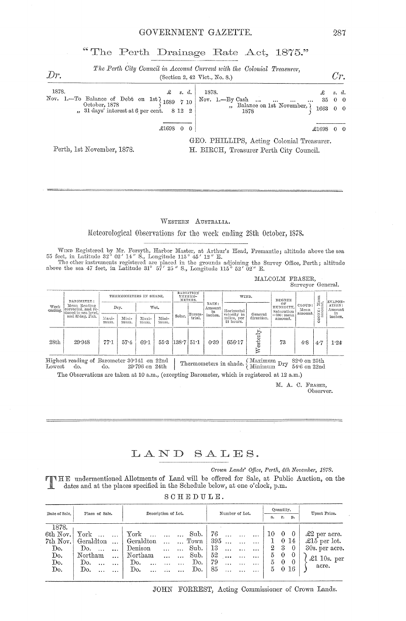## "The Perth Drainage Rate Act, 1875."

| Dr.   |                                                                                                                                                                                                                     | The Perth City Council in Account Current with the Colonial Treasurer,<br>(Section 2, 42 Vict., No. 8.)      | Cr.   |  |
|-------|---------------------------------------------------------------------------------------------------------------------------------------------------------------------------------------------------------------------|--------------------------------------------------------------------------------------------------------------|-------|--|
| 1878. | $\mathcal{L}$ s.d.<br>Nov. 1.—To Balance of Debt on 1st 1689 7 10 Nov. 1.—By Cash<br>October, 1878 $\begin{bmatrix} 1689 & 7 & 10 \end{bmatrix}$ Nov. 1.—By Cash<br>$\mu$ , 31 days' interest at 6 per cent. 8 12 2 | 1878.<br>$35\quad 0\quad 0$<br>$\cdots$ $\cdots$<br>", Balance on 1st November, $\theta$<br>1663 0 0<br>1878 | s. d. |  |
|       | $£1698$ 0 0                                                                                                                                                                                                         | $£1698$ 0 0                                                                                                  |       |  |
|       | Perth, 1st November, 1878.                                                                                                                                                                                          | GEO. PHILLIPS, Acting Colonial Treasurer.<br>H. BIRCH, Treasurer Perth City Council.                         |       |  |

#### WESTERN AUSTRALIA.

Meteorological Observations for the week ending 28th October, 1878.

WIND Registered by Mr. Forsyth, Harbor Master, at Arthur's Head, Fremantle; altitude above the sea 55 feet, in Latitude 32° 02' 14" S., Longitude 115° 45' 12" E.<br>The other instruments registered are placed in the grounds

| MALCOLM FRASER. |                   |  |
|-----------------|-------------------|--|
|                 | Surveyor General. |  |

| Week<br>ending. | BAROMETER:<br>Mean Reading<br>corrected, and re-<br>duced to sea level.<br>and 32 deg. Fah. | THERMOMETERS IN SHADE. |               | RADIATION<br>THERMO-<br>METERS. |               |                        |                   | WIND.   |                                        |                           |                          | EVAPOR-               |        |         |
|-----------------|---------------------------------------------------------------------------------------------|------------------------|---------------|---------------------------------|---------------|------------------------|-------------------|---------|----------------------------------------|---------------------------|--------------------------|-----------------------|--------|---------|
|                 |                                                                                             | Dry.<br>Wet.           |               |                                 |               | RAIN:<br>Amount.<br>in | Horizontal        |         | oв<br>HUMIDITY,<br>Saturation          | CLOUD:<br>Mean<br>amount. | CONE: Mean               | ATION:<br>Amount<br>m |        |         |
|                 |                                                                                             | Maxi-<br>mum.          | Mini-<br>mum. | Maxi-<br>mum.                   | Mini-<br>mum. | Solar.                 | Terres-<br>trial. | inches. | velocity in<br>miles, per<br>24 hours. | General<br>direction.     | $=100$ : mean<br>amount. |                       | Ñ<br>O | inches. |
| 28th            | 29.948                                                                                      | 77.1                   | $57 - 4$      | 69.1                            |               | $55.3$ $138.7$ $51.1$  |                   | 0.39    | 656.17                                 | F                         | 73                       | 4.8                   | 4.7    | 1.24    |

E:  $30.141$  on  $22$ nd Thermometers in shade. (Maximum Dry  $82.0$  on  $25th$  29.796 on 24th Thermometers in shade. (Minimum Dry  $54.6$  on  $22$ nd Lowest do. do. The Observations are taken at 10 a.m., (excepting Barometer, which is registered at 12 a.m.)

M. A. C. FRASER,

Observer.

### LAND SALES.

Crown Lands' Office, Perth, 4th November, 1878.

FINE undermentioned Allotments of Land will be offered for Sale, at Public Auction, on the dates and at the places specified in the Schodule below of action of the dates and at the places specified in the Schodule below of dates and at the places specified in the Schedule below, at one o'clock, p.m.

|  |  |  | SCHEDULE. |  |
|--|--|--|-----------|--|
|  |  |  |           |  |

| Date of Sale. | Place of Sale.          | Description of Lot.                  | Number of Lot.                          | Quantity.                   | Unset Price.         |  |
|---------------|-------------------------|--------------------------------------|-----------------------------------------|-----------------------------|----------------------|--|
|               |                         |                                      |                                         | r.<br>p.<br>a.              |                      |  |
| 1878.         |                         |                                      |                                         |                             |                      |  |
| 6th Nov.      | York                    | ${\rm York}$<br>Sub.<br>$\sim 100$   | 76<br>$\cdots$                          | $\overline{0}$<br>- 0<br>10 | $\pounds2$ per acre. |  |
| 7th Nov.      | Geraldton<br>$\dddotsc$ | Geraldton<br>Town                    | -395<br>$\cdots$                        | $\theta$<br>-14<br>1        | £15 per lot.         |  |
| Do.           | Do.                     | Sub.<br>Denison<br>$\ddotsc$         | 13<br>$\cdots$                          | -3<br>$^{2}$<br>$\theta$    | 30s. per acre.       |  |
| Do.           | Northam<br>$\ddotsc$    | Sub.<br>Northam<br>$\ddotsc$         | 52<br>$\ddotsc$<br>$\cdots$<br>$\cdots$ | 5<br>$\theta$<br>-0         | $\pounds1$ 10s. per  |  |
| Do.           | Do.<br>$\ddotsc$        | Do.<br>Do.<br>$\ddotsc$<br>$\ddotsc$ | 79<br>$\cdots$<br>$\cdots$<br>$\cdots$  | $\theta$<br>5<br>-0         |                      |  |
| Do.           | Do.                     | Do.<br>Do.                           | 85                                      | $0\,16$<br>5                | acre.                |  |
|               |                         |                                      |                                         |                             |                      |  |

JOHN FORREST, Acting Commissioner of Crown Lands.